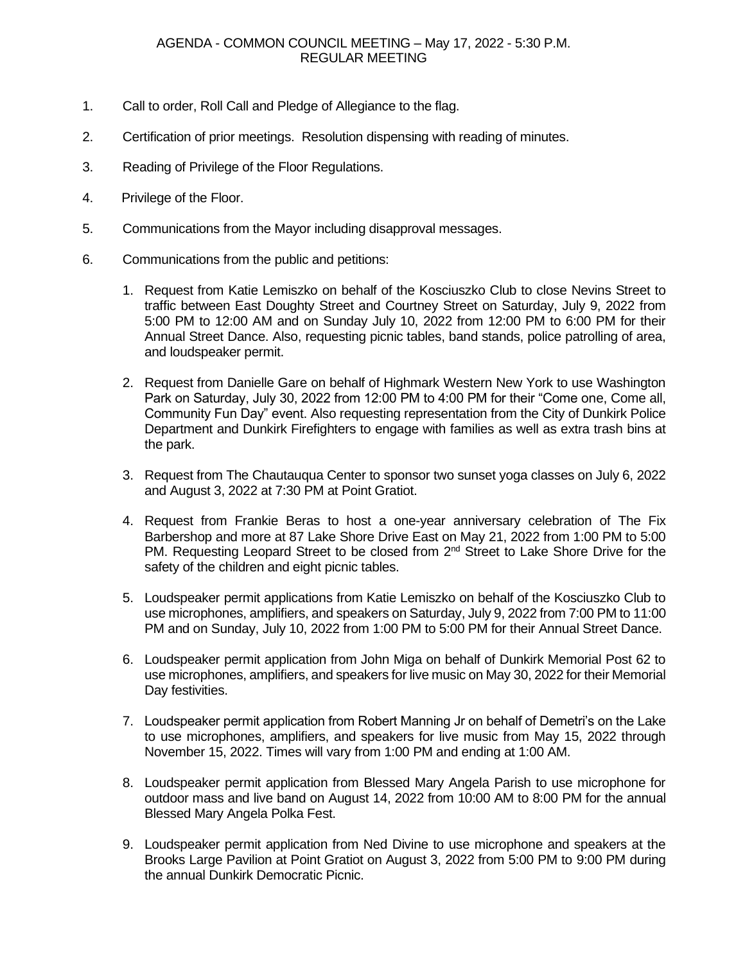- 1. Call to order, Roll Call and Pledge of Allegiance to the flag.
- 2. Certification of prior meetings. Resolution dispensing with reading of minutes.
- 3. Reading of Privilege of the Floor Regulations.
- 4. Privilege of the Floor.
- 5. Communications from the Mayor including disapproval messages.
- 6. Communications from the public and petitions:
	- 1. Request from Katie Lemiszko on behalf of the Kosciuszko Club to close Nevins Street to traffic between East Doughty Street and Courtney Street on Saturday, July 9, 2022 from 5:00 PM to 12:00 AM and on Sunday July 10, 2022 from 12:00 PM to 6:00 PM for their Annual Street Dance. Also, requesting picnic tables, band stands, police patrolling of area, and loudspeaker permit.
	- 2. Request from Danielle Gare on behalf of Highmark Western New York to use Washington Park on Saturday, July 30, 2022 from 12:00 PM to 4:00 PM for their "Come one, Come all, Community Fun Day" event. Also requesting representation from the City of Dunkirk Police Department and Dunkirk Firefighters to engage with families as well as extra trash bins at the park.
	- 3. Request from The Chautauqua Center to sponsor two sunset yoga classes on July 6, 2022 and August 3, 2022 at 7:30 PM at Point Gratiot.
	- 4. Request from Frankie Beras to host a one-year anniversary celebration of The Fix Barbershop and more at 87 Lake Shore Drive East on May 21, 2022 from 1:00 PM to 5:00 PM. Requesting Leopard Street to be closed from 2<sup>nd</sup> Street to Lake Shore Drive for the safety of the children and eight picnic tables.
	- 5. Loudspeaker permit applications from Katie Lemiszko on behalf of the Kosciuszko Club to use microphones, amplifiers, and speakers on Saturday, July 9, 2022 from 7:00 PM to 11:00 PM and on Sunday, July 10, 2022 from 1:00 PM to 5:00 PM for their Annual Street Dance.
	- 6. Loudspeaker permit application from John Miga on behalf of Dunkirk Memorial Post 62 to use microphones, amplifiers, and speakers for live music on May 30, 2022 for their Memorial Day festivities.
	- 7. Loudspeaker permit application from Robert Manning Jr on behalf of Demetri's on the Lake to use microphones, amplifiers, and speakers for live music from May 15, 2022 through November 15, 2022. Times will vary from 1:00 PM and ending at 1:00 AM.
	- 8. Loudspeaker permit application from Blessed Mary Angela Parish to use microphone for outdoor mass and live band on August 14, 2022 from 10:00 AM to 8:00 PM for the annual Blessed Mary Angela Polka Fest.
	- 9. Loudspeaker permit application from Ned Divine to use microphone and speakers at the Brooks Large Pavilion at Point Gratiot on August 3, 2022 from 5:00 PM to 9:00 PM during the annual Dunkirk Democratic Picnic.